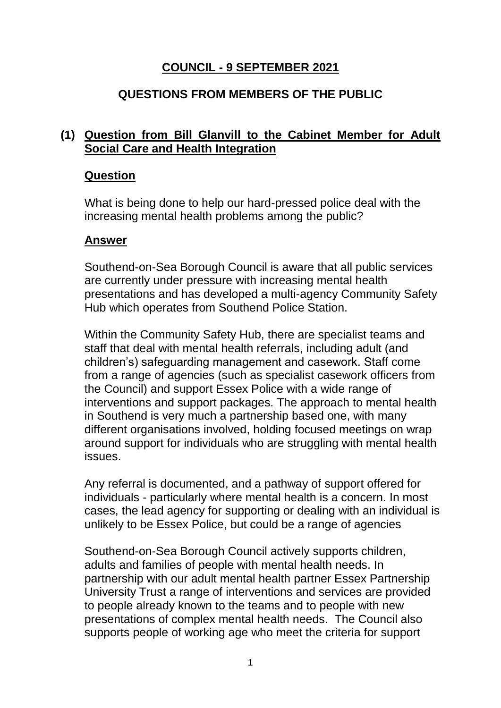# **COUNCIL - 9 SEPTEMBER 2021**

## **QUESTIONS FROM MEMBERS OF THE PUBLIC**

### **(1) Question from Bill Glanvill to the Cabinet Member for Adult Social Care and Health Integration**

#### **Question**

What is being done to help our hard-pressed police deal with the increasing mental health problems among the public?

#### **Answer**

Southend-on-Sea Borough Council is aware that all public services are currently under pressure with increasing mental health presentations and has developed a multi-agency Community Safety Hub which operates from Southend Police Station.

Within the Community Safety Hub, there are specialist teams and staff that deal with mental health referrals, including adult (and children's) safeguarding management and casework. Staff come from a range of agencies (such as specialist casework officers from the Council) and support Essex Police with a wide range of interventions and support packages. The approach to mental health in Southend is very much a partnership based one, with many different organisations involved, holding focused meetings on wrap around support for individuals who are struggling with mental health issues.

Any referral is documented, and a pathway of support offered for individuals - particularly where mental health is a concern. In most cases, the lead agency for supporting or dealing with an individual is unlikely to be Essex Police, but could be a range of agencies

Southend-on-Sea Borough Council actively supports children, adults and families of people with mental health needs. In partnership with our adult mental health partner Essex Partnership University Trust a range of interventions and services are provided to people already known to the teams and to people with new presentations of complex mental health needs. The Council also supports people of working age who meet the criteria for support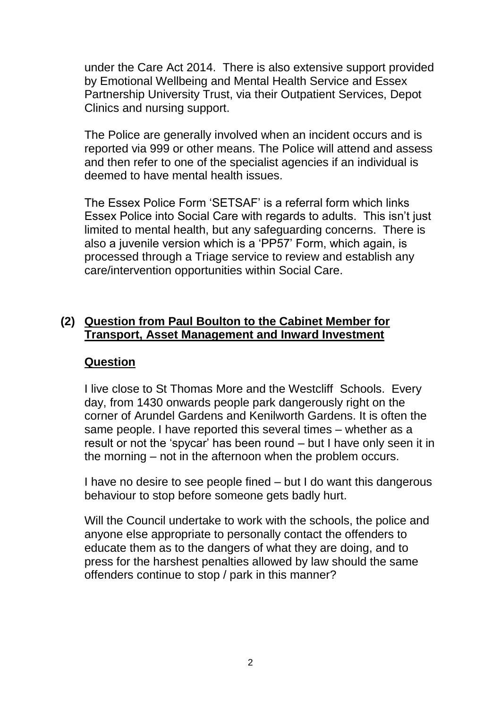under the Care Act 2014. There is also extensive support provided by Emotional Wellbeing and Mental Health Service and Essex Partnership University Trust, via their Outpatient Services, Depot Clinics and nursing support.

The Police are generally involved when an incident occurs and is reported via 999 or other means. The Police will attend and assess and then refer to one of the specialist agencies if an individual is deemed to have mental health issues.

The Essex Police Form 'SETSAF' is a referral form which links Essex Police into Social Care with regards to adults. This isn't just limited to mental health, but any safeguarding concerns. There is also a juvenile version which is a 'PP57' Form, which again, is processed through a Triage service to review and establish any care/intervention opportunities within Social Care.

#### **(2) Question from Paul Boulton to the Cabinet Member for Transport, Asset Management and Inward Investment**

### **Question**

I live close to St Thomas More and the Westcliff Schools. Every day, from 1430 onwards people park dangerously right on the corner of Arundel Gardens and Kenilworth Gardens. It is often the same people. I have reported this several times – whether as a result or not the 'spycar' has been round – but I have only seen it in the morning – not in the afternoon when the problem occurs.

I have no desire to see people fined – but I do want this dangerous behaviour to stop before someone gets badly hurt.

Will the Council undertake to work with the schools, the police and anyone else appropriate to personally contact the offenders to educate them as to the dangers of what they are doing, and to press for the harshest penalties allowed by law should the same offenders continue to stop / park in this manner?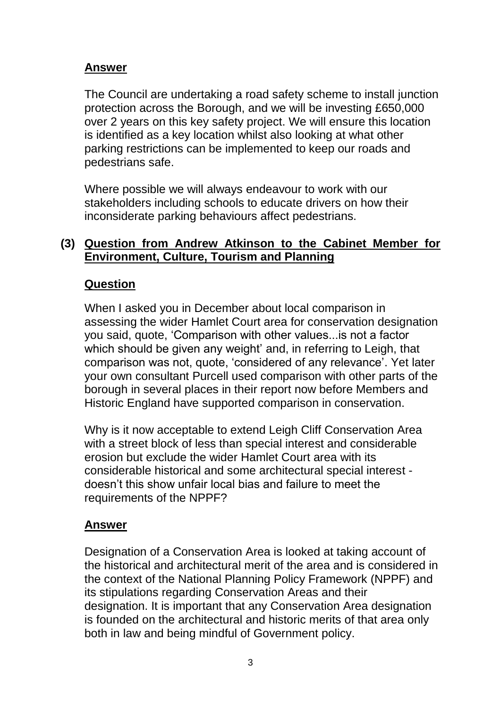### **Answer**

The Council are undertaking a road safety scheme to install junction protection across the Borough, and we will be investing £650,000 over 2 years on this key safety project. We will ensure this location is identified as a key location whilst also looking at what other parking restrictions can be implemented to keep our roads and pedestrians safe.

Where possible we will always endeavour to work with our stakeholders including schools to educate drivers on how their inconsiderate parking behaviours affect pedestrians.

### **(3) Question from Andrew Atkinson to the Cabinet Member for Environment, Culture, Tourism and Planning**

## **Question**

When I asked you in December about local comparison in assessing the wider Hamlet Court area for conservation designation you said, quote, 'Comparison with other values...is not a factor which should be given any weight' and, in referring to Leigh, that comparison was not, quote, 'considered of any relevance'. Yet later your own consultant Purcell used comparison with other parts of the borough in several places in their report now before Members and Historic England have supported comparison in conservation.

Why is it now acceptable to extend Leigh Cliff Conservation Area with a street block of less than special interest and considerable erosion but exclude the wider Hamlet Court area with its considerable historical and some architectural special interest doesn't this show unfair local bias and failure to meet the requirements of the NPPF?

### **Answer**

Designation of a Conservation Area is looked at taking account of the historical and architectural merit of the area and is considered in the context of the National Planning Policy Framework (NPPF) and its stipulations regarding Conservation Areas and their designation. It is important that any Conservation Area designation is founded on the architectural and historic merits of that area only both in law and being mindful of Government policy.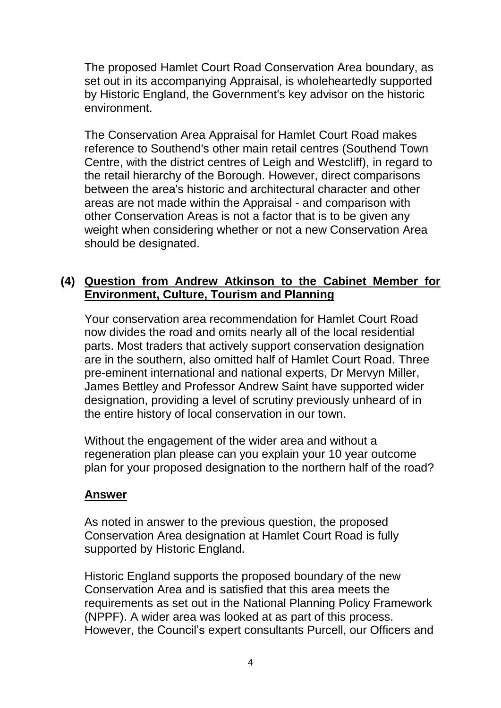The proposed Hamlet Court Road Conservation Area boundary, as set out in its accompanying Appraisal, is wholeheartedly supported by Historic England, the Government's key advisor on the historic environment.

The Conservation Area Appraisal for Hamlet Court Road makes reference to Southend's other main retail centres (Southend Town Centre, with the district centres of Leigh and Westcliff), in regard to the retail hierarchy of the Borough. However, direct comparisons between the area's historic and architectural character and other areas are not made within the Appraisal - and comparison with other Conservation Areas is not a factor that is to be given any weight when considering whether or not a new Conservation Area should be designated.

## **(4) Question from Andrew Atkinson to the Cabinet Member for Environment, Culture, Tourism and Planning**

Your conservation area recommendation for Hamlet Court Road now divides the road and omits nearly all of the local residential parts. Most traders that actively support conservation designation are in the southern, also omitted half of Hamlet Court Road. Three pre-eminent international and national experts, Dr Mervyn Miller, James Bettley and Professor Andrew Saint have supported wider designation, providing a level of scrutiny previously unheard of in the entire history of local conservation in our town.

Without the engagement of the wider area and without a regeneration plan please can you explain your 10 year outcome plan for your proposed designation to the northern half of the road?

### **Answer**

As noted in answer to the previous question, the proposed Conservation Area designation at Hamlet Court Road is fully supported by Historic England.

Historic England supports the proposed boundary of the new Conservation Area and is satisfied that this area meets the requirements as set out in the National Planning Policy Framework (NPPF). A wider area was looked at as part of this process. However, the Council's expert consultants Purcell, our Officers and